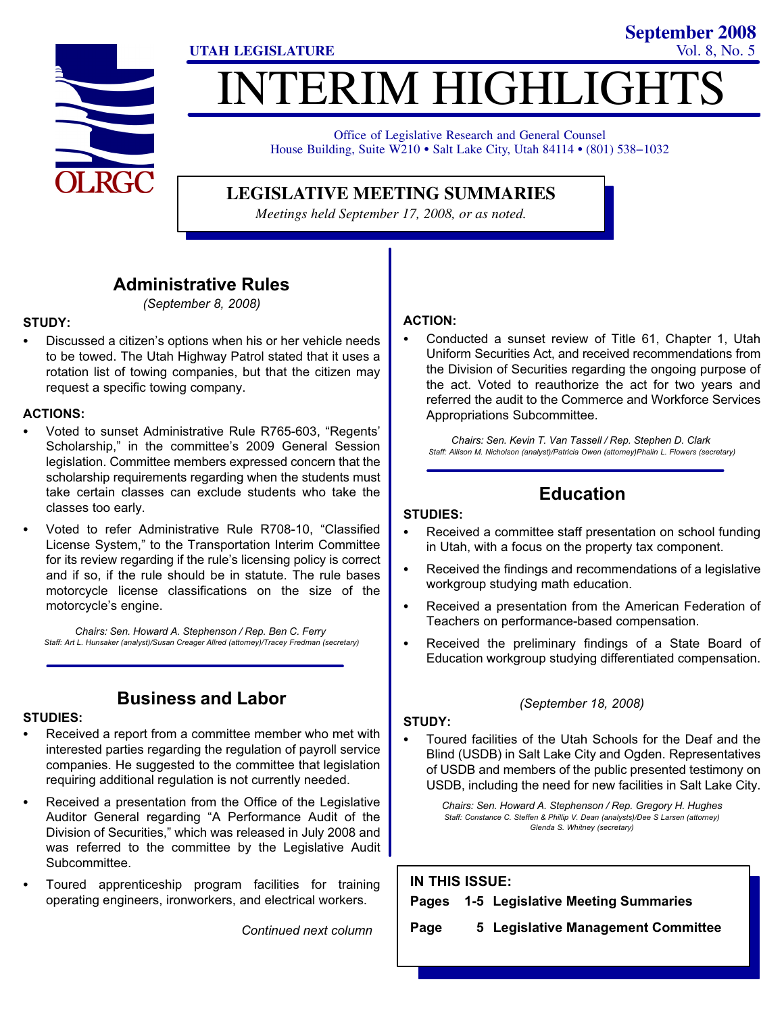

## **ITERIM HIGHLIGH UTAH LEGISLATURE** Vol. 8, No. 5

Office of Legislative Research and General Counsel House Building, Suite W210 · Salt Lake City, Utah 84114 · (801) 538-1032

**LEGISLATIVE MEETING SUMMARIES**

*Meetings held September 17, 2008, or as noted.*

## Administrative Rules

(September 8, 2008)

#### STUDY:

- Discussed a citizen's options when his or her vehicle needs to be towed. The Utah Highway Patrol stated that it uses a rotation list of towing companies, but that the citizen may request a specific towing company.

#### ACTIONS:

- -• Voted to sunset Administrative Rule R765-603, "Regents' Scholarship," in the committee's 2009 General Session legislation. Committee members expressed concern that the scholarship requirements regarding when the students must take certain classes can exclude students who take the classes too early.
- -• Voted to refer Administrative Rule R708-10, "Classified License System," to the Transportation Interim Committee for its review regarding if the rule's licensing policy is correct and if so, if the rule should be in statute. The rule bases motorcycle license classifications on the size of the motorcycle's engine.

Chairs: Sen. Howard A. Stephenson / Rep. Ben C. Ferry Staff: Art L. Hunsaker (analyst)/Susan Creager Allred (attorney)/Tracey Fredman (secretary)

## Business and Labor

#### STUDIES:

- - Received a report from a committee member who met with interested parties regarding the regulation of payroll service companies. He suggested to the committee that legislation requiring additional regulation is not currently needed.
- - Received a presentation from the Office of the Legislative Auditor General regarding "A Performance Audit of the Division of Securities," which was released in July 2008 and was referred to the committee by the Legislative Audit Subcommittee.
- - Toured apprenticeship program facilities for training operating engineers, ironworkers, and electrical workers.

Continued next column

#### ACTION:

- Conducted a sunset review of Title 61, Chapter 1, Utah Uniform Securities Act, and received recommendations from the Division of Securities regarding the ongoing purpose of the act. Voted to reauthorize the act for two years and referred the audit to the Commerce and Workforce Services Appropriations Subcommittee.

**September 2008**

Chairs: Sen. Kevin T. Van Tassell / Rep. Stephen D. Clark Staff: Allison M. Nicholson (analyst)/Patricia Owen (attorney)Phalin L. Flowers (secretary)

## Education

#### STUDIES:

- - Received a committee staff presentation on school funding in Utah, with a focus on the property tax component.
- - Received the findings and recommendations of a legislative workgroup studying math education.
- - Received a presentation from the American Federation of Teachers on performance−based compensation.
- - Received the preliminary findings of a State Board of Education workgroup studying differentiated compensation.

#### (September 18, 2008)

#### STUDY:

- Toured facilities of the Utah Schools for the Deaf and the Blind (USDB) in Salt Lake City and Ogden. Representatives of USDB and members of the public presented testimony on USDB, including the need for new facilities in Salt Lake City.

> Chairs: Sen. Howard A. Stephenson / Rep. Gregory H. Hughes Staff: Constance C. Steffen & Phillip V. Dean (analysts)/Dee S Larsen (attorney) Glenda S. Whitney (secretary)

| <b>IN THIS ISSUE:</b> |  |                                         |
|-----------------------|--|-----------------------------------------|
|                       |  | Pages 1-5 Legislative Meeting Summaries |
| Page                  |  | 5 Legislative Management Committee      |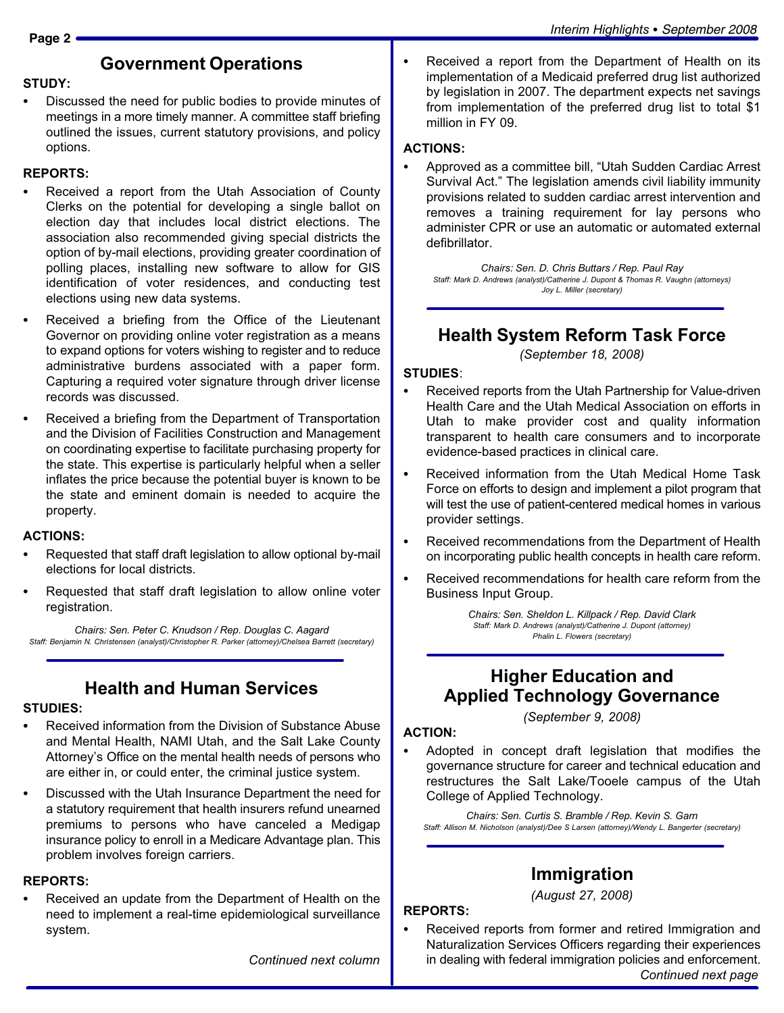## Government Operations

#### STUDY:

- Discussed the need for public bodies to provide minutes of meetings in a more timely manner. A committee staff briefing outlined the issues, current statutory provisions, and policy options.

#### REPORTS:

- - Received a report from the Utah Association of County Clerks on the potential for developing a single ballot on election day that includes local district elections. The association also recommended giving special districts the option of by−mail elections, providing greater coordination of polling places, installing new software to allow for GIS identification of voter residences, and conducting test elections using new data systems.
- - Received a briefing from the Office of the Lieutenant Governor on providing online voter registration as a means to expand options for voters wishing to register and to reduce administrative burdens associated with a paper form. Capturing a required voter signature through driver license records was discussed.
- - Received a briefing from the Department of Transportation and the Division of Facilities Construction and Management on coordinating expertise to facilitate purchasing property for the state. This expertise is particularly helpful when a seller inflates the price because the potential buyer is known to be the state and eminent domain is needed to acquire the property.

#### ACTIONS:

- - Requested that staff draft legislation to allow optional by−mail elections for local districts.
- - Requested that staff draft legislation to allow online voter registration.

Chairs: Sen. Peter C. Knudson / Rep. Douglas C. Aagard Staff: Benjamin N. Christensen (analyst)/Christopher R. Parker (attorney)/Chelsea Barrett (secretary)

## Health and Human Services

#### STUDIES:

- - Received information from the Division of Substance Abuse and Mental Health, NAMI Utah, and the Salt Lake County Attorney's Office on the mental health needs of persons who are either in, or could enter, the criminal justice system.
- - Discussed with the Utah Insurance Department the need for a statutory requirement that health insurers refund unearned premiums to persons who have canceled a Medigap insurance policy to enroll in a Medicare Advantage plan. This problem involves foreign carriers.

### REPORTS:

- Received an update from the Department of Health on the need to implement a real−time epidemiological surveillance system.

Continued next column

#### ACTIONS:

-

-

• Approved as a committee bill, "Utah Sudden Cardiac Arrest Survival Act." The legislation amends civil liability immunity provisions related to sudden cardiac arrest intervention and removes a training requirement for lay persons who administer CPR or use an automatic or automated external defibrillator.

Chairs: Sen. D. Chris Buttars / Rep. Paul Ray Staff: Mark D. Andrews (analyst)/Catherine J. Dupont & Thomas R. Vaughn (attorneys) Joy L. Miller (secretary)

## Health System Reform Task Force

(September 18, 2008)

#### STUDIES:

- - Received reports from the Utah Partnership for Value−driven Health Care and the Utah Medical Association on efforts in Utah to make provider cost and quality information transparent to health care consumers and to incorporate evidence−based practices in clinical care.
- - Received information from the Utah Medical Home Task Force on efforts to design and implement a pilot program that will test the use of patient−centered medical homes in various provider settings.
- - Received recommendations from the Department of Health on incorporating public health concepts in health care reform.
- - Received recommendations for health care reform from the Business Input Group.

Chairs: Sen. Sheldon L. Killpack / Rep. David Clark Staff: Mark D. Andrews (analyst)/Catherine J. Dupont (attorney) Phalin L. Flowers (secretary)

## Higher Education and Applied Technology Governance

(September 9, 2008)

#### ACTION:

-

 Adopted in concept draft legislation that modifies the governance structure for career and technical education and restructures the Salt Lake/Tooele campus of the Utah College of Applied Technology.

Chairs: Sen. Curtis S. Bramble / Rep. Kevin S. Garn Staff: Allison M. Nicholson (analyst)/Dee S Larsen (attorney)/Wendy L. Bangerter (secretary)

## Immigration

(August 27, 2008)

#### REPORTS:

- Received reports from former and retired Immigration and Naturalization Services Officers regarding their experiences in dealing with federal immigration policies and enforcement. Continued next page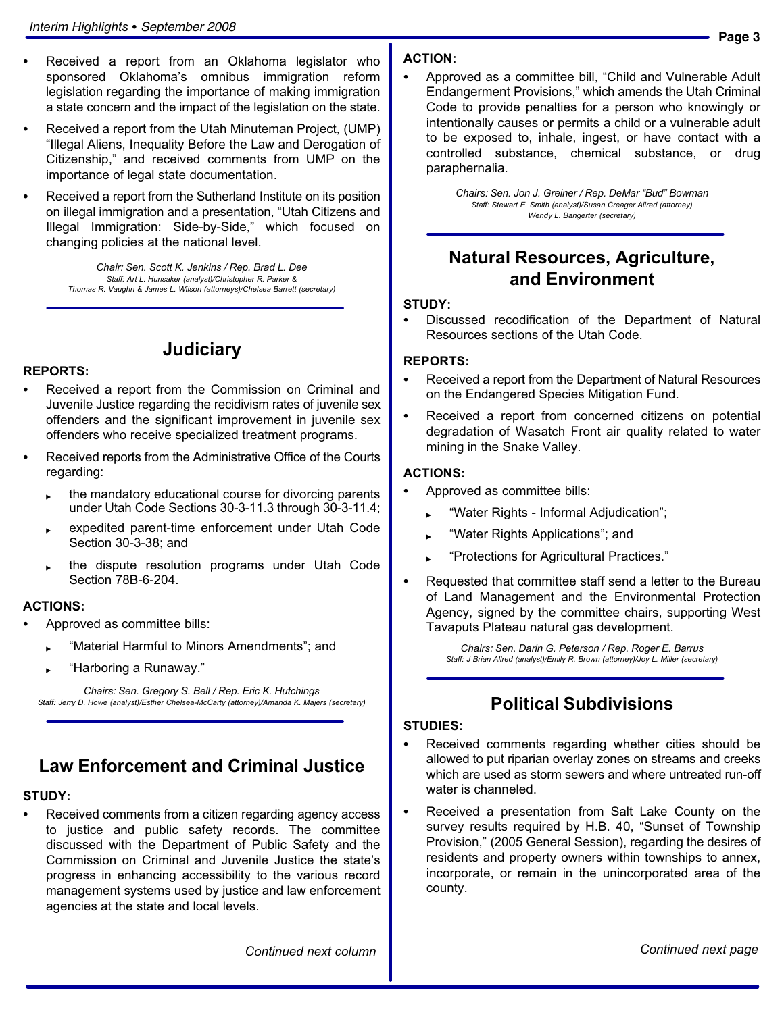- - Received a report from an Oklahoma legislator who sponsored Oklahoma's omnibus immigration reform legislation regarding the importance of making immigration a state concern and the impact of the legislation on the state.
- - Received a report from the Utah Minuteman Project, (UMP) -Illegal Aliens, Inequality Before the Law and Derogation of Citizenship," and received comments from UMP on the importance of legal state documentation.
- - Received a report from the Sutherland Institute on its position on illegal immigration and a presentation, "Utah Citizens and Illegal Immigration: Side−by−Side," which focused on changing policies at the national level.

Chair: Sen. Scott K. Jenkins / Rep. Brad L. Dee Staff: Art L. Hunsaker (analyst)/Christopher R. Parker & Thomas R. Vaughn & James L. Wilson (attorneys)/Chelsea Barrett (secretary)

## **Judiciary**

#### REPORTS:

- - Received a report from the Commission on Criminal and Juvenile Justice regarding the recidivism rates of juvenile sex offenders and the significant improvement in juvenile sex offenders who receive specialized treatment programs.
- - Received reports from the Administrative Office of the Courts regarding:
	- the mandatory educational course for divorcing parents under Utah Code Sections 30−3−11.3 through 30−3−11.4;
	- expedited parent−time enforcement under Utah Code Section 30−3−38; and
	- the dispute resolution programs under Utah Code Section 78B−6−204.

#### ACTIONS:

- - Approved as committee bills:
	- -Material Harmful to Minors Amendments"; and
	- ► "Harboring a Runaway."

Chairs: Sen. Gregory S. Bell / Rep. Eric K. Hutchings Staff: Jerry D. Howe (analyst)/Esther Chelsea−McCarty (attorney)/Amanda K. Majers (secretary)

## Law Enforcement and Criminal Justice

#### STUDY:

- Received comments from a citizen regarding agency access to justice and public safety records. The committee discussed with the Department of Public Safety and the Commission on Criminal and Juvenile Justice the state's progress in enhancing accessibility to the various record management systems used by justice and law enforcement agencies at the state and local levels.

#### ACTION:

-• Approved as a committee bill, "Child and Vulnerable Adult Endangerment Provisions," which amends the Utah Criminal Code to provide penalties for a person who knowingly or intentionally causes or permits a child or a vulnerable adult to be exposed to, inhale, ingest, or have contact with a controlled substance, chemical substance, or drug paraphernalia.

> Chairs: Sen. Jon J. Greiner / Rep. DeMar "Bud" Bowman Staff: Stewart E. Smith (analyst)/Susan Creager Allred (attorney) Wendy L. Bangerter (secretary)

## Natural Resources, Agriculture, and Environment

#### STUDY:

- Discussed recodification of the Department of Natural Resources sections of the Utah Code.

#### REPORTS:

- - Received a report from the Department of Natural Resources on the Endangered Species Mitigation Fund.
- - Received a report from concerned citizens on potential degradation of Wasatch Front air quality related to water mining in the Snake Valley.

#### ACTIONS:

- - Approved as committee bills:
	- -Water Rights − Informal Adjudication";
	- -Water Rights Applications"; and
	- -Protections for Agricultural Practices."
- - Requested that committee staff send a letter to the Bureau of Land Management and the Environmental Protection Agency, signed by the committee chairs, supporting West Tavaputs Plateau natural gas development.

Chairs: Sen. Darin G. Peterson / Rep. Roger E. Barrus Staff: J Brian Allred (analyst)/Emily R. Brown (attorney)/Joy L. Miller (secretary)

## Political Subdivisions

#### STUDIES:

- - Received comments regarding whether cities should be allowed to put riparian overlay zones on streams and creeks which are used as storm sewers and where untreated run−off water is channeled.
- - Received a presentation from Salt Lake County on the survey results required by H.B. 40, "Sunset of Township Provision," (2005 General Session), regarding the desires of residents and property owners within townships to annex, incorporate, or remain in the unincorporated area of the county.

Continued next column

Continued next page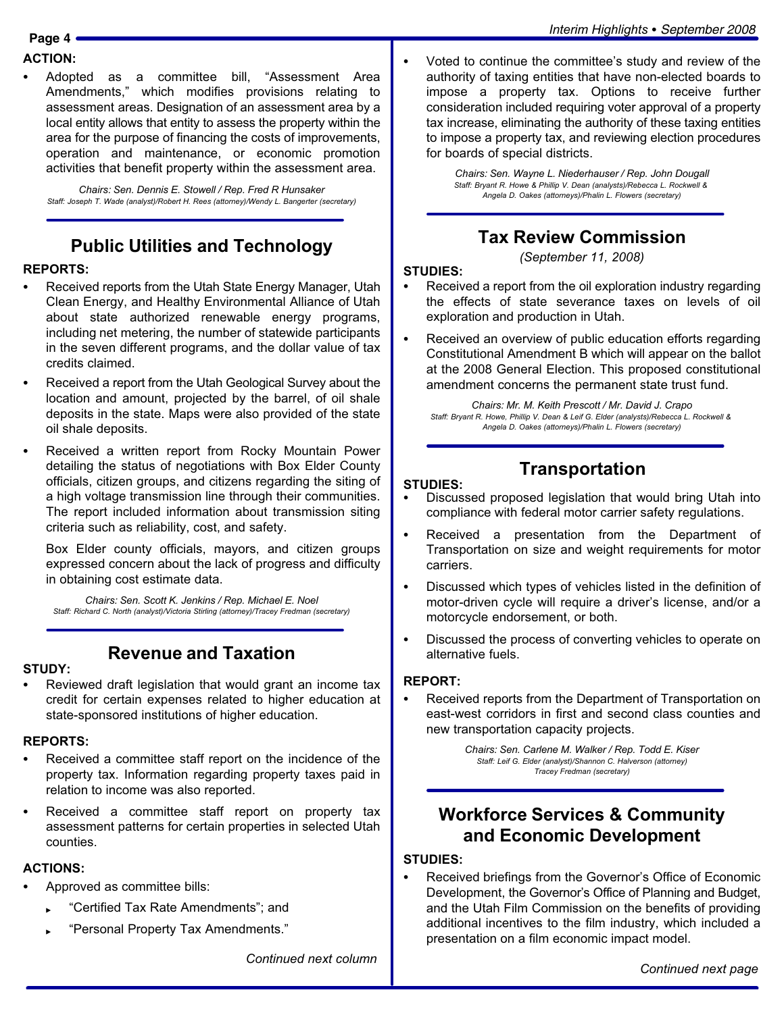#### ACTION:

-

• Adopted as a committee bill, "Assessment Area Amendments," which modifies provisions relating to assessment areas. Designation of an assessment area by a local entity allows that entity to assess the property within the area for the purpose of financing the costs of improvements, operation and maintenance, or economic promotion activities that benefit property within the assessment area.

Chairs: Sen. Dennis E. Stowell / Rep. Fred R Hunsaker Staff: Joseph T. Wade (analyst)/Robert H. Rees (attorney)/Wendy L. Bangerter (secretary)

## Public Utilities and Technology

#### REPORTS:

- - Received reports from the Utah State Energy Manager, Utah Clean Energy, and Healthy Environmental Alliance of Utah about state authorized renewable energy programs, including net metering, the number of statewide participants in the seven different programs, and the dollar value of tax credits claimed.
- - Received a report from the Utah Geological Survey about the location and amount, projected by the barrel, of oil shale deposits in the state. Maps were also provided of the state oil shale deposits.
- - Received a written report from Rocky Mountain Power detailing the status of negotiations with Box Elder County officials, citizen groups, and citizens regarding the siting of a high voltage transmission line through their communities. The report included information about transmission siting criteria such as reliability, cost, and safety.

Box Elder county officials, mayors, and citizen groups expressed concern about the lack of progress and difficulty in obtaining cost estimate data.

Chairs: Sen. Scott K. Jenkins / Rep. Michael E. Noel Staff: Richard C. North (analyst)/Victoria Stirling (attorney)/Tracey Fredman (secretary)

## Revenue and Taxation

#### STUDY:

- Reviewed draft legislation that would grant an income tax credit for certain expenses related to higher education at state−sponsored institutions of higher education.

#### REPORTS:

- - Received a committee staff report on the incidence of the property tax. Information regarding property taxes paid in relation to income was also reported.
- - Received a committee staff report on property tax assessment patterns for certain properties in selected Utah counties.

#### ACTIONS:

- - Approved as committee bills:
	- ► Certified Tax Rate Amendments"; and
	- -Personal Property Tax Amendments."

Continued next column

 Voted to continue the committee's study and review of the authority of taxing entities that have non−elected boards to impose a property tax. Options to receive further consideration included requiring voter approval of a property tax increase, eliminating the authority of these taxing entities to impose a property tax, and reviewing election procedures for boards of special districts.

> Chairs: Sen. Wayne L. Niederhauser / Rep. John Dougall Staff: Bryant R. Howe & Phillip V. Dean (analysts)/Rebecca L. Rockwell & Angela D. Oakes (attorneys)/Phalin L. Flowers (secretary)

## Tax Review Commission

(September 11, 2008)

#### STUDIES:

-

- - Received a report from the oil exploration industry regarding the effects of state severance taxes on levels of oil exploration and production in Utah.
- - Received an overview of public education efforts regarding Constitutional Amendment B which will appear on the ballot at the 2008 General Election. This proposed constitutional amendment concerns the permanent state trust fund.

Chairs: Mr. M. Keith Prescott / Mr. David J. Crapo Staff: Bryant R. Howe, Phillip V. Dean & Leif G. Elder (analysts)/Rebecca L. Rockwell & Angela D. Oakes (attorneys)/Phalin L. Flowers (secretary)

#### STUDIES:

# **Transportation**

- - Discussed proposed legislation that would bring Utah into compliance with federal motor carrier safety regulations.
- - Received a presentation from the Department of Transportation on size and weight requirements for motor carriers.
- - Discussed which types of vehicles listed in the definition of motor−driven cycle will require a driver´s license, and/or a motorcycle endorsement, or both.
- - Discussed the process of converting vehicles to operate on alternative fuels.

#### REPORT:

- Received reports from the Department of Transportation on east−west corridors in first and second class counties and new transportation capacity projects.

> Chairs: Sen. Carlene M. Walker / Rep. Todd E. Kiser Staff: Leif G. Elder (analyst)/Shannon C. Halverson (attorney) Tracey Fredman (secretary)

## Workforce Services & Community and Economic Development

#### STUDIES:

- Received briefings from the Governor's Office of Economic Development, the Governor's Office of Planning and Budget, and the Utah Film Commission on the benefits of providing additional incentives to the film industry, which included a presentation on a film economic impact model.

Continued next page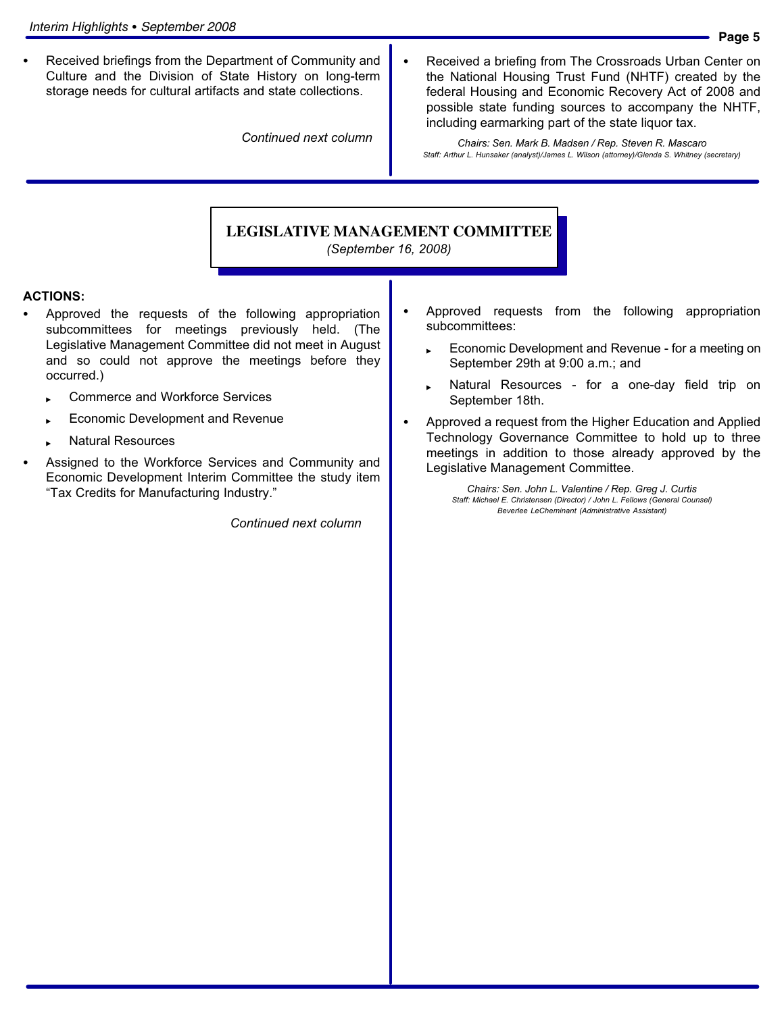- Received briefings from the Department of Community and Culture and the Division of State History on long−term storage needs for cultural artifacts and state collections.

Continued next column

 Received a briefing from The Crossroads Urban Center on the National Housing Trust Fund (NHTF) created by the federal Housing and Economic Recovery Act of 2008 and possible state funding sources to accompany the NHTF, including earmarking part of the state liquor tax.

Chairs: Sen. Mark B. Madsen / Rep. Steven R. Mascaro Staff: Arthur L. Hunsaker (analyst)/James L. Wilson (attorney)/Glenda S. Whitney (secretary)

## **LEGISLATIVE MANAGEMENT COMMITTEE**

-

-

(September 16, 2008)

#### ACTIONS:

- - Approved the requests of the following appropriation subcommittees for meetings previously held. (The Legislative Management Committee did not meet in August and so could not approve the meetings before they occurred.)
	- Commerce and Workforce Services
	- Economic Development and Revenue
	- Natural Resources
- - Assigned to the Workforce Services and Community and Economic Development Interim Committee the study item -Tax Credits for Manufacturing Industry."

Continued next column

- Approved requests from the following appropriation subcommittees:
	- Economic Development and Revenue − for a meeting on September 29th at 9:00 a.m.; and
	- Natural Resources − for a one−day field trip on September 18th.
- - Approved a request from the Higher Education and Applied Technology Governance Committee to hold up to three meetings in addition to those already approved by the Legislative Management Committee.

Chairs: Sen. John L. Valentine / Rep. Greg J. Curtis Staff: Michael E. Christensen (Director) / John L. Fellows (General Counsel) Beverlee LeCheminant (Administrative Assistant)